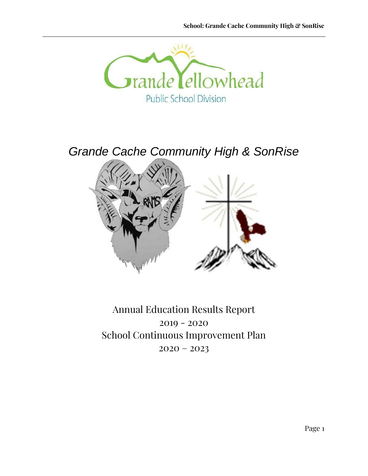

*Grande Cache Community High & SonRise*



Annual Education Results Report 2019 - 2020 School Continuous Improvement Plan  $2020 - 2023$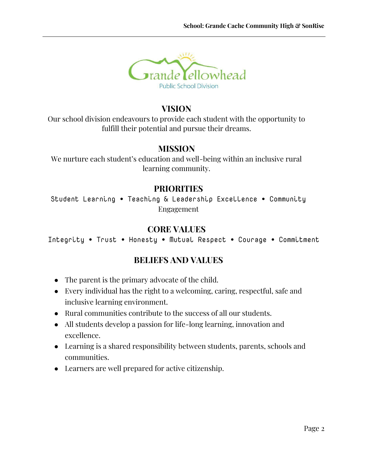

### **VISION**

Our school division endeavours to provide each student with the opportunity to fulfill their potential and pursue their dreams.

### **MISSION**

We nurture each student's education and well-being within an inclusive rural learning community.

### **PRIORITIES**

Student Learning ∙ Teaching & Leadership Excellence ∙ Community Engagement

### **CORE VALUES**

Integrity ∙ Trust ∙ Honesty ∙ Mutual Respect ∙ Courage ∙ Commitment

## **BELIEFS AND VALUES**

- The parent is the primary advocate of the child.
- Every individual has the right to a welcoming, caring, respectful, safe and inclusive learning environment.
- Rural communities contribute to the success of all our students.
- All students develop a passion for life-long learning, innovation and excellence.
- Learning is a shared responsibility between students, parents, schools and communities.
- Learners are well prepared for active citizenship.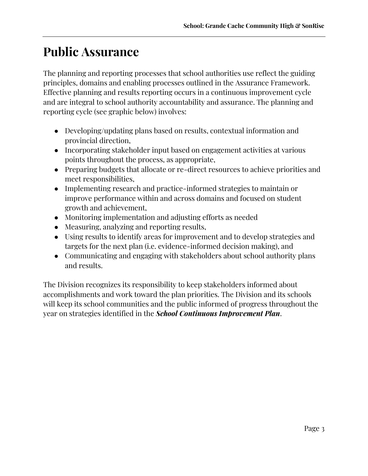# **Public Assurance**

The planning and reporting processes that school authorities use reflect the guiding principles, domains and enabling processes outlined in the Assurance Framework. Effective planning and results reporting occurs in a continuous improvement cycle and are integral to school authority accountability and assurance. The planning and reporting cycle (see graphic below) involves:

- Developing/updating plans based on results, contextual information and provincial direction,
- Incorporating stakeholder input based on engagement activities at various points throughout the process, as appropriate,
- Preparing budgets that allocate or re-direct resources to achieve priorities and meet responsibilities,
- Implementing research and practice-informed strategies to maintain or improve performance within and across domains and focused on student growth and achievement,
- Monitoring implementation and adjusting efforts as needed
- Measuring, analyzing and reporting results,
- Using results to identify areas for improvement and to develop strategies and targets for the next plan (i.e. evidence-informed decision making), and
- Communicating and engaging with stakeholders about school authority plans and results.

The Division recognizes its responsibility to keep stakeholders informed about accomplishments and work toward the plan priorities. The Division and its schools will keep its school communities and the public informed of progress throughout the year on strategies identified in the *School Continuous Improvement Plan*.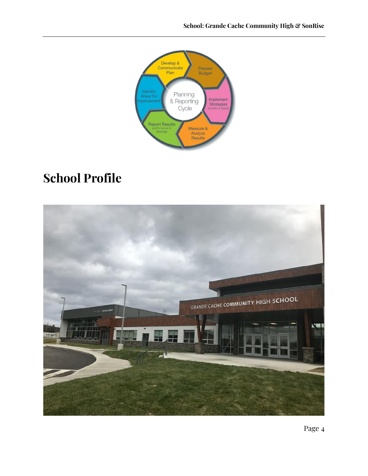

# **School Profile**

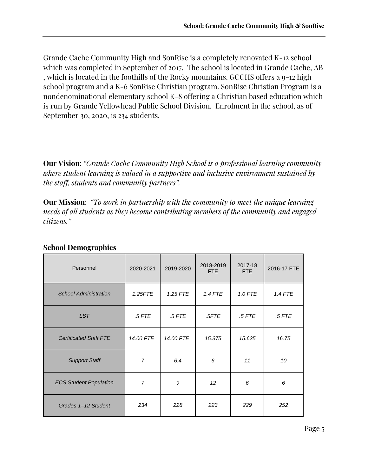Grande Cache Community High and SonRise is a completely renovated K-12 school which was completed in September of 2017. The school is located in Grande Cache, AB , which is located in the foothills of the Rocky mountains. GCCHS offers a 9-12 high school program and a K-6 SonRise Christian program. SonRise Christian Program is a nondenominational elementary school K-8 offering a Christian based education which is run by Grande Yellowhead Public School Division. Enrolment in the school, as of September 30, 2020, is 234 students.

**Our Vision**: *"Grande Cache Community High School is a professional learning community where student learning is valued in a supportive and inclusive environment sustained by the staff, students and community partners".*

**Our Mission**: *"To work in partnership with the community to meet the unique learning needs of all students as they become contributing members of the community and engaged citizens."*

| Personnel                     | 2020-2021      | 2019-2020 | 2018-2019<br><b>FTE</b> | 2017-18<br>FTE | 2016-17 FTE |
|-------------------------------|----------------|-----------|-------------------------|----------------|-------------|
| <b>School Administration</b>  | 1.25FTE        | 1.25 FTE  | <b>1.4 FTE</b>          | 1.0 FTE        | $1.4$ FTE   |
| <b>LST</b>                    | $.5$ FTE       | $.5$ FTE  | .5FTE                   | $.5$ FTE       | .5 FTE      |
| <b>Certificated Staff FTE</b> | 14.00 FTE      | 14.00 FTE | 15.375                  | 15.625         | 16.75       |
| <b>Support Staff</b>          | $\overline{7}$ | 6.4       | 6                       | 11             | 10          |
| <b>ECS Student Population</b> | 7              | 9         | 12 <sup>°</sup>         | 6              | 6           |
| Grades 1-12 Student           | 234            | 228       | 223                     | 229            | 252         |

### **School Demographics**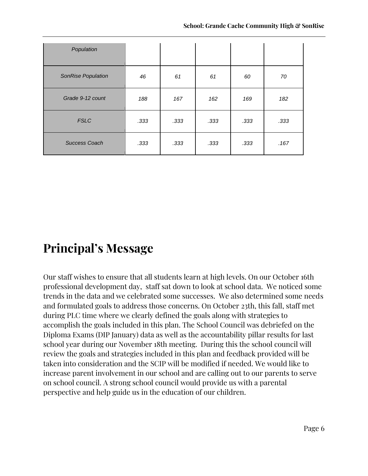| Population           |      |      |      |      |      |
|----------------------|------|------|------|------|------|
| SonRise Population   | 46   | 61   | 61   | 60   | 70   |
| Grade 9-12 count     | 188  | 167  | 162  | 169  | 182  |
| <b>FSLC</b>          | .333 | .333 | .333 | .333 | .333 |
| <b>Success Coach</b> | .333 | .333 | .333 | .333 | .167 |

# **Principal's Message**

Our staff wishes to ensure that all students learn at high levels. On our October 16th professional development day, staff sat down to look at school data. We noticed some trends in the data and we celebrated some successes. We also determined some needs and formulated goals to address those concerns. On October 23th, this fall, staff met during PLC time where we clearly defined the goals along with strategies to accomplish the goals included in this plan. The School Council was debriefed on the Diploma Exams (DIP January) data as well as the accountability pillar results for last school year during our November 18th meeting. During this the school council will review the goals and strategies included in this plan and feedback provided will be taken into consideration and the SCIP will be modified if needed. We would like to increase parent involvement in our school and are calling out to our parents to serve on school council. A strong school council would provide us with a parental perspective and help guide us in the education of our children.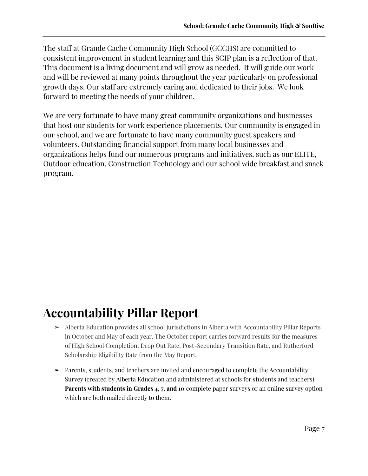The staff at Grande Cache Community High School (GCCHS) are committed to consistent improvement in student learning and this SCIP plan is a reflection of that. This document is a living document and will grow as needed. It will guide our work and will be reviewed at many points throughout the year particularly on professional growth days. Our staff are extremely caring and dedicated to their jobs. We look forward to meeting the needs of your children.

We are very fortunate to have many great community organizations and businesses that host our students for work experience placements. Our community is engaged in our school, and we are fortunate to have many community guest speakers and volunteers. Outstanding financial support from many local businesses and organizations helps fund our numerous programs and initiatives, such as our ELITE, Outdoor education, Construction Technology and our school wide breakfast and snack program.

# **Accountability Pillar Report**

- ➢ Alberta Education provides all school jurisdictions in Alberta with Accountability Pillar Reports in October and May of each year. The October report carries forward results for the measures of High School Completion, Drop Out Rate, Post-Secondary Transition Rate, and Rutherford Scholarship Eligibility Rate from the May Report.
- ➢ Parents, students, and teachers are invited and encouraged to complete the Accountability Survey (created by Alberta Education and administered at schools for students and teachers). **Parents with students in Grades 4, 7, and 10** complete paper surveys or an online survey option which are both mailed directly to them.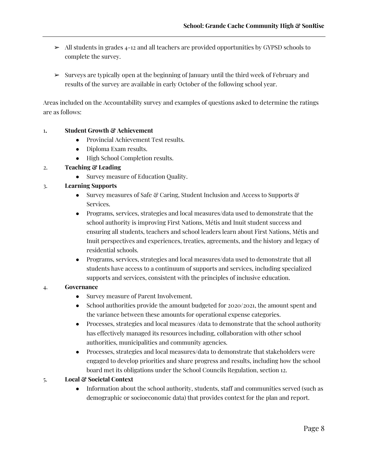- $\geq$  All students in grades 4-12 and all teachers are provided opportunities by GYPSD schools to complete the survey.
- $\triangleright$  Surveys are typically open at the beginning of January until the third week of February and results of the survey are available in early October of the following school year.

Areas included on the Accountability survey and examples of questions asked to determine the ratings are as follows:

#### 1**. Student Growth & Achievement**

- Provincial Achievement Test results.
- Diploma Exam results.
- High School Completion results.

#### 2. **Teaching & Leading**

• Survey measure of Education Quality.

#### 3. **Learning Supports**

- Survey measures of Safe & Caring, Student Inclusion and Access to Supports & Services.
- Programs, services, strategies and local measures/data used to demonstrate that the school authority is improving First Nations, Métis and Inuit student success and ensuring all students, teachers and school leaders learn about First Nations, Métis and Inuit perspectives and experiences, treaties, agreements, and the history and legacy of residential schools.
- Programs, services, strategies and local measures/data used to demonstrate that all students have access to a continuum of supports and services, including specialized supports and services, consistent with the principles of inclusive education.

#### 4. **Governance**

- Survey measure of Parent Involvement.
- School authorities provide the amount budgeted for  $2020/2021$ , the amount spent and the variance between these amounts for operational expense categories.
- Processes, strategies and local measures /data to demonstrate that the school authority has effectively managed its resources including, collaboration with other school authorities, municipalities and community agencies.
- Processes, strategies and local measures/data to demonstrate that stakeholders were engaged to develop priorities and share progress and results, including how the school board met its obligations under the School Councils Regulation, section 12.

#### 5. **Local & Societal Context**

• Information about the school authority, students, staff and communities served (such as demographic or socioeconomic data) that provides context for the plan and report.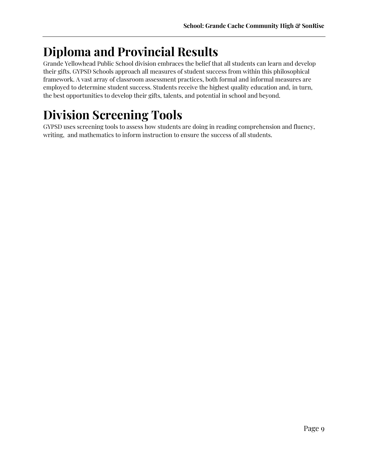# **Diploma and Provincial Results**

Grande Yellowhead Public School division embraces the belief that all students can learn and develop their gifts. GYPSD Schools approach all measures of student success from within this philosophical framework. A vast array of classroom assessment practices, both formal and informal measures are employed to determine student success. Students receive the highest quality education and, in turn, the best opportunities to develop their gifts, talents, and potential in school and beyond.

# **Division Screening Tools**

GYPSD uses screening tools to assess how students are doing in reading comprehension and fluency, writing, and mathematics to inform instruction to ensure the success of all students.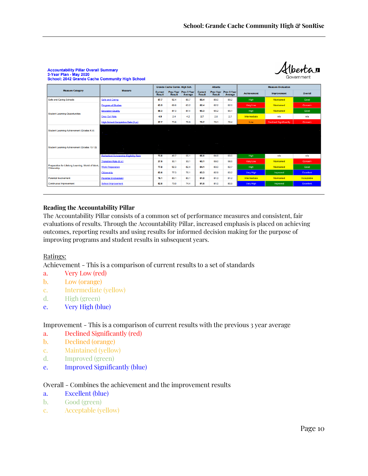Albertan

| <b>U-TUGLITIQUE THICY AVAV</b><br>Government<br><b>School: 2042 Grande Cache Community High School</b> |                                                    |                                 |                                     |                        |                                 |                                   |                        |                    |                               |                  |
|--------------------------------------------------------------------------------------------------------|----------------------------------------------------|---------------------------------|-------------------------------------|------------------------|---------------------------------|-----------------------------------|------------------------|--------------------|-------------------------------|------------------|
|                                                                                                        |                                                    |                                 | <b>Grande Cache Comm. High Sch.</b> |                        |                                 | <b>Alberta</b>                    |                        |                    | <b>Measure Evaluation</b>     |                  |
| <b>Measure Category</b>                                                                                | <b>Measure</b>                                     | <b>Current</b><br><b>Result</b> | <b>Prev Year</b><br><b>Result</b>   | Prev 3 Year<br>Average | <b>Current</b><br><b>Result</b> | <b>Prev Year</b><br><b>Result</b> | Prev 3 Year<br>Average | <b>Achievement</b> | <b>Improvement</b>            | <b>Overall</b>   |
| <b>Safe and Caring Schools</b>                                                                         | Safe and Caring                                    | 87.7                            | 92.4                                | 89.7                   | 89.4                            | 89.0                              | 89.2                   | High               | <b>Maintained</b>             | Good             |
|                                                                                                        | <b>Program of Studies</b>                          | 63.5                            | 69.6                                | 63.2                   | 82.4                            | 82.2                              | 82.0                   | Very Low           | <b>Maintained</b>             | Concern          |
| <b>Student Learning Opportunities</b>                                                                  | <b>Education Quality</b>                           | 88.3                            | 87.3                                | 87.4                   | 90.3                            | 90.2                              | 90.1                   | High               | Maintained                    | Good             |
|                                                                                                        | <b>Drop Out Rate</b>                               | 4.9                             | 2.4                                 | 4.2                    | 2.7                             | 2.6                               | 2.7                    | Intermediate       | n/a                           | n/a              |
|                                                                                                        | High School Completion Rate (3 yr)                 | 57.7                            | 73.6                                | 78.8                   | 79.7                            | 79.1                              | 78.4                   | Low                | <b>Declined Significantly</b> | Concern          |
| Student Learning Achievement (Grades K-9)                                                              |                                                    |                                 | $\sim$                              | . .                    | <b>Contract</b>                 |                                   |                        |                    |                               |                  |
| Student Learning Achievement (Grades 10-12)                                                            | <b>Contract Contract</b><br><b>Service Control</b> | $\sim$ $\sim$ $\sim$            |                                     | <b>Contractor</b>      |                                 |                                   |                        |                    |                               |                  |
|                                                                                                        | <b>Rutherford Scholarship Eligibility Rate</b>     | 73.8                            | 48.7                                | 55.1                   | 66.6                            | 64.8                              | 63.5                   | High               | n/a                           | n/a              |
|                                                                                                        | Transition Rate (6 vr)                             | 27.5                            | 30.1                                | 33.1                   | 60.1                            | 59.0                              | 58.5                   | Very Low           | Maintained                    | Concern          |
| Preparation for Lifelong Learning, World of Work,<br>Citizenship                                       | <b>Work Preparation</b>                            | 77.8                            | 92.3                                | 82.4                   | 84.1                            | 83.0                              | 82.7                   | High               | Maintained                    | Good             |
|                                                                                                        | Citizenship                                        | 83.6                            | 77.3                                | 76.1                   | 83.3                            | 82.9                              | 83.2                   | Very High          | Improved                      | Excellent        |
| <b>Parental Involvement</b>                                                                            | <b>Parental Involvement</b>                        | 76.1                            | 83.1                                | 80.1                   | 81.8                            | 81.3                              | 81.2                   | Intermediate       | <b>Maintained</b>             | Acceptable       |
| <b>Continuous Improvement</b>                                                                          | <b>School Improvement</b>                          | 82.8                            | 73.0                                | 74.4                   | 81.5                            | 81.0                              | 80.9                   | Very High          | Improved                      | <b>Excellent</b> |

## **Accountability Pillar Overall Summary**<br>3-Year Plan - May 2020

#### **Reading the Accountability Pillar**

The Accountability Pillar consists of a common set of performance measures and consistent, fair evaluations of results. Through the Accountability Pillar, increased emphasis is placed on achieving outcomes, reporting results and using results for informed decision making for the purpose of improving programs and student results in subsequent years.

#### Ratings:

Achievement - This is a comparison of current results to a set of standards

- a. Very Low (red)
- b. Low (orange)
- c. Intermediate (yellow)
- d. High (green)
- e. Very High (blue)

#### Improvement - This is a comparison of current results with the previous 3 year average

- a. Declined Significantly (red)
- b. Declined (orange)
- c. Maintained (yellow)
- d. Improved (green)
- e. Improved Significantly (blue)

#### Overall - Combines the achievement and the improvement results

- a. Excellent (blue)
- b. Good (green)
- c. Acceptable (yellow)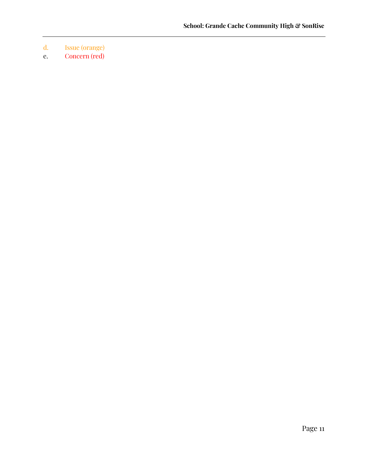- d. Issue (orange)
- e. Concern (red)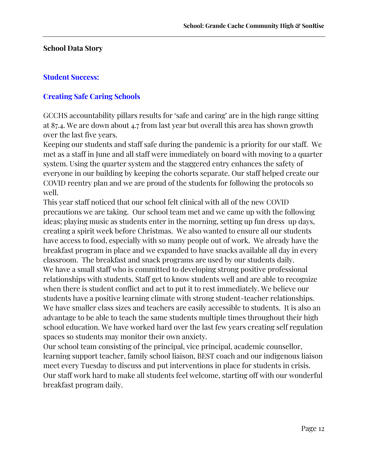#### **School Data Story**

#### **Student Success:**

### **Creating Safe Caring Schools**

GCCHS accountability pillars results for 'safe and caring' are in the high range sitting at 87.4. We are down about 4.7 from last year but overall this area has shown growth over the last five years.

Keeping our students and staff safe during the pandemic is a priority for our staff. We met as a staff in June and all staff were immediately on board with moving to a quarter system. Using the quarter system and the staggered entry enhances the safety of everyone in our building by keeping the cohorts separate. Our staff helped create our COVID reentry plan and we are proud of the students for following the protocols so well.

This year staff noticed that our school felt clinical with all of the new COVID precautions we are taking. Our school team met and we came up with the following ideas; playing music as students enter in the morning, setting up fun dress up days, creating a spirit week before Christmas. We also wanted to ensure all our students have access to food, especially with so many people out of work. We already have the breakfast program in place and we expanded to have snacks available all day in every classroom. The breakfast and snack programs are used by our students daily. We have a small staff who is committed to developing strong positive professional relationships with students. Staff get to know students well and are able to recognize when there is student conflict and act to put it to rest immediately. We believe our students have a positive learning climate with strong student-teacher relationships. We have smaller class sizes and teachers are easily accessible to students. It is also an advantage to be able to teach the same students multiple times throughout their high school education. We have worked hard over the last few years creating self regulation spaces so students may monitor their own anxiety.

Our school team consisting of the principal, vice principal, academic counsellor, learning support teacher, family school liaison, BEST coach and our indigenous liaison meet every Tuesday to discuss and put interventions in place for students in crisis. Our staff work hard to make all students feel welcome, starting off with our wonderful breakfast program daily.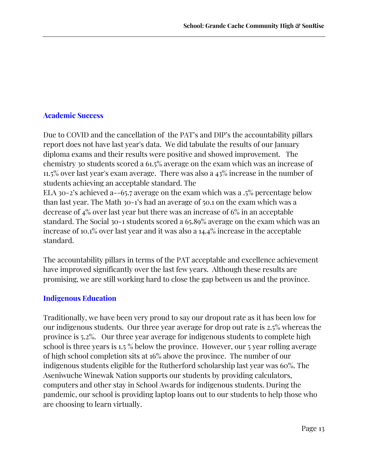### **Academic Success**

Due to COVID and the cancellation of the PAT's and DIP's the accountability pillars report does not have last year's data. We did tabulate the results of our January diploma exams and their results were positive and showed improvement. The chemistry 30 students scored a 61.5% average on the exam which was an increase of 11.5% over last year's exam average. There was also a 43% increase in the number of students achieving an acceptable standard. The ELA 30-2's achieved a--65.7 average on the exam which was a .5% percentage below

than last year. The Math 30-1's had an average of 50.1 on the exam which was a decrease of 4% over last year but there was an increase of 6% in an acceptable standard. The Social 30-1 students scored a 65.89% average on the exam which was an increase of 10.1% over last year and it was also a 14.4% increase in the acceptable standard.

The accountability pillars in terms of the PAT acceptable and excellence achievement have improved significantly over the last few years. Although these results are promising, we are still working hard to close the gap between us and the province.

### **Indigenous Education**

Traditionally, we have been very proud to say our dropout rate as it has been low for our indigenous students. Our three year average for drop out rate is 2.5% whereas the province is 5.2%. Our three year average for indigenous students to complete high school is three years is 1.5 % below the province. However, our 5 year rolling average of high school completion sits at 16% above the province. The number of our indigenous students eligible for the Rutherford scholarship last year was 60%. The Aseniwuche Winewak Nation supports our students by providing calculators, computers and other stay in School Awards for indigenous students. During the pandemic, our school is providing laptop loans out to our students to help those who are choosing to learn virtually.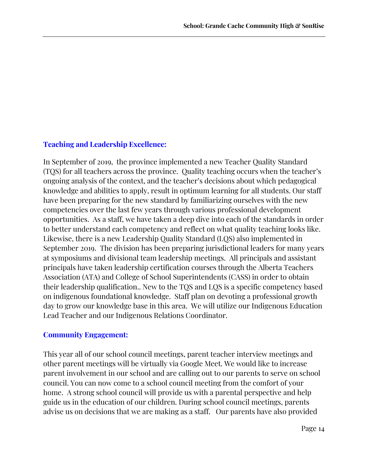### **Teaching and Leadership Excellence:**

In September of 2019, the province implemented a new Teacher Quality Standard (TQS) for all teachers across the province. Quality teaching occurs when the teacher's ongoing analysis of the context, and the teacher's decisions about which pedagogical knowledge and abilities to apply, result in optimum learning for all students. Our staff have been preparing for the new standard by familiarizing ourselves with the new competencies over the last few years through various professional development opportunities. As a staff, we have taken a deep dive into each of the standards in order to better understand each competency and reflect on what quality teaching looks like. Likewise, there is a new Leadership Quality Standard (LQS) also implemented in September 2019. The division has been preparing jurisdictional leaders for many years at symposiums and divisional team leadership meetings. All principals and assistant principals have taken leadership certification courses through the Alberta Teachers Association (ATA) and College of School Superintendents (CASS) in order to obtain their leadership qualification.. New to the TQS and LQS is a specific competency based on indigenous foundational knowledge. Staff plan on devoting a professional growth day to grow our knowledge base in this area. We will utilize our Indigenous Education Lead Teacher and our Indigenous Relations Coordinator.

### **Community Engagement:**

This year all of our school council meetings, parent teacher interview meetings and other parent meetings will be virtually via Google Meet. We would like to increase parent involvement in our school and are calling out to our parents to serve on school council. You can now come to a school council meeting from the comfort of your home. A strong school council will provide us with a parental perspective and help guide us in the education of our children. During school council meetings, parents advise us on decisions that we are making as a staff. Our parents have also provided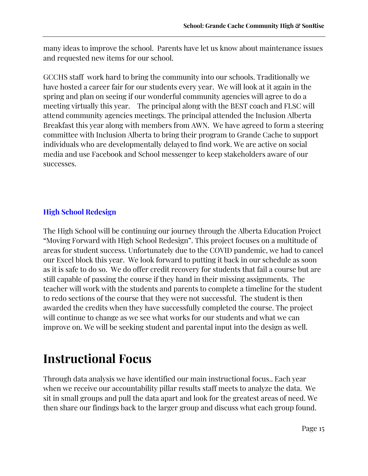many ideas to improve the school. Parents have let us know about maintenance issues and requested new items for our school.

GCCHS staff work hard to bring the community into our schools. Traditionally we have hosted a career fair for our students every year. We will look at it again in the spring and plan on seeing if our wonderful community agencies will agree to do a meeting virtually this year. The principal along with the BEST coach and FLSC will attend community agencies meetings. The principal attended the Inclusion Alberta Breakfast this year along with members from AWN. We have agreed to form a steering committee with Inclusion Alberta to bring their program to Grande Cache to support individuals who are developmentally delayed to find work. We are active on social media and use Facebook and School messenger to keep stakeholders aware of our successes.

### **High School Redesign**

The High School will be continuing our journey through the Alberta Education Project "Moving Forward with High School Redesign". This project focuses on a multitude of areas for student success. Unfortunately due to the COVID pandemic, we had to cancel our Excel block this year. We look forward to putting it back in our schedule as soon as it is safe to do so. We do offer credit recovery for students that fail a course but are still capable of passing the course if they hand in their missing assignments. The teacher will work with the students and parents to complete a timeline for the student to redo sections of the course that they were not successful. The student is then awarded the credits when they have successfully completed the course. The project will continue to change as we see what works for our students and what we can improve on. We will be seeking student and parental input into the design as well.

# **Instructional Focus**

Through data analysis we have identified our main instructional focus.. Each year when we receive our accountability pillar results staff meets to analyze the data. We sit in small groups and pull the data apart and look for the greatest areas of need. We then share our findings back to the larger group and discuss what each group found.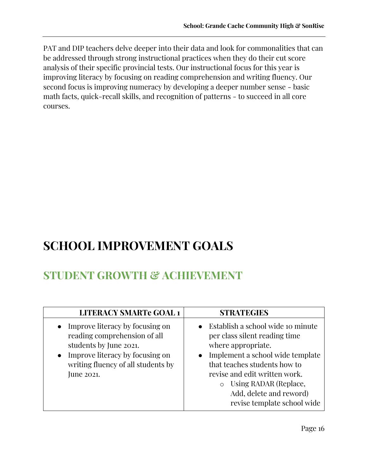PAT and DIP teachers delve deeper into their data and look for commonalities that can be addressed through strong instructional practices when they do their cut score analysis of their specific provincial tests. Our instructional focus for this year is improving literacy by focusing on reading comprehension and writing fluency. Our second focus is improving numeracy by developing a deeper number sense - basic math facts, quick-recall skills, and recognition of patterns - to succeed in all core courses.

# **SCHOOL IMPROVEMENT GOALS**

## **STUDENT GROWTH & ACHIEVEMENT**

| <b>LITERACY SMARTe GOAL 1</b>                                                                                                                                                    | <b>STRATEGIES</b>                                                                                                                                                                                                                                                                               |
|----------------------------------------------------------------------------------------------------------------------------------------------------------------------------------|-------------------------------------------------------------------------------------------------------------------------------------------------------------------------------------------------------------------------------------------------------------------------------------------------|
| Improve literacy by focusing on<br>reading comprehension of all<br>students by June 2021.<br>Improve literacy by focusing on<br>writing fluency of all students by<br>June 2021. | • Establish a school wide 10 minute<br>per class silent reading time<br>where appropriate.<br>• Implement a school wide template<br>that teaches students how to<br>revise and edit written work.<br>Using RADAR (Replace,<br>$\circ$<br>Add, delete and reword)<br>revise template school wide |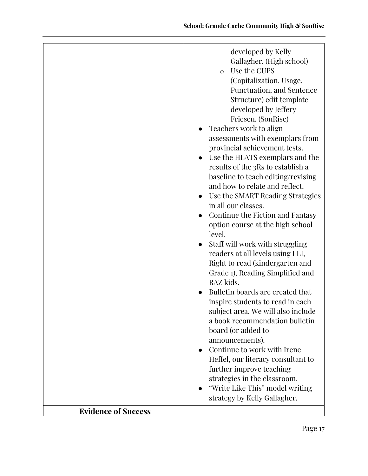| Gallagher. (High school)<br>Use the CUPS<br>$\circ$<br>(Capitalization, Usage,<br>Punctuation, and Sentence<br>Structure) edit template<br>developed by Jeffery<br>Friesen. (SonRise)<br>Teachers work to align<br>assessments with exemplars from<br>provincial achievement tests.<br>Use the HLATS exemplars and the<br>results of the 3Rs to establish a<br>baseline to teach editing/revising<br>and how to relate and reflect.<br>Use the SMART Reading Strategies<br>in all our classes.<br>Continue the Fiction and Fantasy<br>option course at the high school<br>level.<br>Staff will work with struggling<br>readers at all levels using LLI,<br>Right to read (kindergarten and<br>Grade 1), Reading Simplified and<br>RAZ kids.<br>Bulletin boards are created that<br>inspire students to read in each<br>subject area. We will also include<br>a book recommendation bulletin<br>board (or added to<br>announcements).<br>Continue to work with Irene<br>Heffel, our literacy consultant to<br>further improve teaching<br>strategies in the classroom.<br>"Write Like This" model writing<br>strategy by Kelly Gallagher. | developed by Kelly |
|------------------------------------------------------------------------------------------------------------------------------------------------------------------------------------------------------------------------------------------------------------------------------------------------------------------------------------------------------------------------------------------------------------------------------------------------------------------------------------------------------------------------------------------------------------------------------------------------------------------------------------------------------------------------------------------------------------------------------------------------------------------------------------------------------------------------------------------------------------------------------------------------------------------------------------------------------------------------------------------------------------------------------------------------------------------------------------------------------------------------------------------|--------------------|
|                                                                                                                                                                                                                                                                                                                                                                                                                                                                                                                                                                                                                                                                                                                                                                                                                                                                                                                                                                                                                                                                                                                                          |                    |
|                                                                                                                                                                                                                                                                                                                                                                                                                                                                                                                                                                                                                                                                                                                                                                                                                                                                                                                                                                                                                                                                                                                                          |                    |
|                                                                                                                                                                                                                                                                                                                                                                                                                                                                                                                                                                                                                                                                                                                                                                                                                                                                                                                                                                                                                                                                                                                                          |                    |
|                                                                                                                                                                                                                                                                                                                                                                                                                                                                                                                                                                                                                                                                                                                                                                                                                                                                                                                                                                                                                                                                                                                                          |                    |
|                                                                                                                                                                                                                                                                                                                                                                                                                                                                                                                                                                                                                                                                                                                                                                                                                                                                                                                                                                                                                                                                                                                                          |                    |
|                                                                                                                                                                                                                                                                                                                                                                                                                                                                                                                                                                                                                                                                                                                                                                                                                                                                                                                                                                                                                                                                                                                                          |                    |
|                                                                                                                                                                                                                                                                                                                                                                                                                                                                                                                                                                                                                                                                                                                                                                                                                                                                                                                                                                                                                                                                                                                                          |                    |
|                                                                                                                                                                                                                                                                                                                                                                                                                                                                                                                                                                                                                                                                                                                                                                                                                                                                                                                                                                                                                                                                                                                                          |                    |
|                                                                                                                                                                                                                                                                                                                                                                                                                                                                                                                                                                                                                                                                                                                                                                                                                                                                                                                                                                                                                                                                                                                                          |                    |
|                                                                                                                                                                                                                                                                                                                                                                                                                                                                                                                                                                                                                                                                                                                                                                                                                                                                                                                                                                                                                                                                                                                                          |                    |
|                                                                                                                                                                                                                                                                                                                                                                                                                                                                                                                                                                                                                                                                                                                                                                                                                                                                                                                                                                                                                                                                                                                                          |                    |
|                                                                                                                                                                                                                                                                                                                                                                                                                                                                                                                                                                                                                                                                                                                                                                                                                                                                                                                                                                                                                                                                                                                                          |                    |
|                                                                                                                                                                                                                                                                                                                                                                                                                                                                                                                                                                                                                                                                                                                                                                                                                                                                                                                                                                                                                                                                                                                                          |                    |
|                                                                                                                                                                                                                                                                                                                                                                                                                                                                                                                                                                                                                                                                                                                                                                                                                                                                                                                                                                                                                                                                                                                                          |                    |
|                                                                                                                                                                                                                                                                                                                                                                                                                                                                                                                                                                                                                                                                                                                                                                                                                                                                                                                                                                                                                                                                                                                                          |                    |
|                                                                                                                                                                                                                                                                                                                                                                                                                                                                                                                                                                                                                                                                                                                                                                                                                                                                                                                                                                                                                                                                                                                                          |                    |
|                                                                                                                                                                                                                                                                                                                                                                                                                                                                                                                                                                                                                                                                                                                                                                                                                                                                                                                                                                                                                                                                                                                                          |                    |
|                                                                                                                                                                                                                                                                                                                                                                                                                                                                                                                                                                                                                                                                                                                                                                                                                                                                                                                                                                                                                                                                                                                                          |                    |
|                                                                                                                                                                                                                                                                                                                                                                                                                                                                                                                                                                                                                                                                                                                                                                                                                                                                                                                                                                                                                                                                                                                                          |                    |
|                                                                                                                                                                                                                                                                                                                                                                                                                                                                                                                                                                                                                                                                                                                                                                                                                                                                                                                                                                                                                                                                                                                                          |                    |
|                                                                                                                                                                                                                                                                                                                                                                                                                                                                                                                                                                                                                                                                                                                                                                                                                                                                                                                                                                                                                                                                                                                                          |                    |
|                                                                                                                                                                                                                                                                                                                                                                                                                                                                                                                                                                                                                                                                                                                                                                                                                                                                                                                                                                                                                                                                                                                                          |                    |
|                                                                                                                                                                                                                                                                                                                                                                                                                                                                                                                                                                                                                                                                                                                                                                                                                                                                                                                                                                                                                                                                                                                                          |                    |
|                                                                                                                                                                                                                                                                                                                                                                                                                                                                                                                                                                                                                                                                                                                                                                                                                                                                                                                                                                                                                                                                                                                                          |                    |
|                                                                                                                                                                                                                                                                                                                                                                                                                                                                                                                                                                                                                                                                                                                                                                                                                                                                                                                                                                                                                                                                                                                                          |                    |
|                                                                                                                                                                                                                                                                                                                                                                                                                                                                                                                                                                                                                                                                                                                                                                                                                                                                                                                                                                                                                                                                                                                                          |                    |
|                                                                                                                                                                                                                                                                                                                                                                                                                                                                                                                                                                                                                                                                                                                                                                                                                                                                                                                                                                                                                                                                                                                                          |                    |
|                                                                                                                                                                                                                                                                                                                                                                                                                                                                                                                                                                                                                                                                                                                                                                                                                                                                                                                                                                                                                                                                                                                                          |                    |
|                                                                                                                                                                                                                                                                                                                                                                                                                                                                                                                                                                                                                                                                                                                                                                                                                                                                                                                                                                                                                                                                                                                                          |                    |
|                                                                                                                                                                                                                                                                                                                                                                                                                                                                                                                                                                                                                                                                                                                                                                                                                                                                                                                                                                                                                                                                                                                                          |                    |
|                                                                                                                                                                                                                                                                                                                                                                                                                                                                                                                                                                                                                                                                                                                                                                                                                                                                                                                                                                                                                                                                                                                                          |                    |
|                                                                                                                                                                                                                                                                                                                                                                                                                                                                                                                                                                                                                                                                                                                                                                                                                                                                                                                                                                                                                                                                                                                                          |                    |
|                                                                                                                                                                                                                                                                                                                                                                                                                                                                                                                                                                                                                                                                                                                                                                                                                                                                                                                                                                                                                                                                                                                                          |                    |
|                                                                                                                                                                                                                                                                                                                                                                                                                                                                                                                                                                                                                                                                                                                                                                                                                                                                                                                                                                                                                                                                                                                                          |                    |
|                                                                                                                                                                                                                                                                                                                                                                                                                                                                                                                                                                                                                                                                                                                                                                                                                                                                                                                                                                                                                                                                                                                                          |                    |
|                                                                                                                                                                                                                                                                                                                                                                                                                                                                                                                                                                                                                                                                                                                                                                                                                                                                                                                                                                                                                                                                                                                                          |                    |
|                                                                                                                                                                                                                                                                                                                                                                                                                                                                                                                                                                                                                                                                                                                                                                                                                                                                                                                                                                                                                                                                                                                                          |                    |
| <b>Evidence of Success</b>                                                                                                                                                                                                                                                                                                                                                                                                                                                                                                                                                                                                                                                                                                                                                                                                                                                                                                                                                                                                                                                                                                               |                    |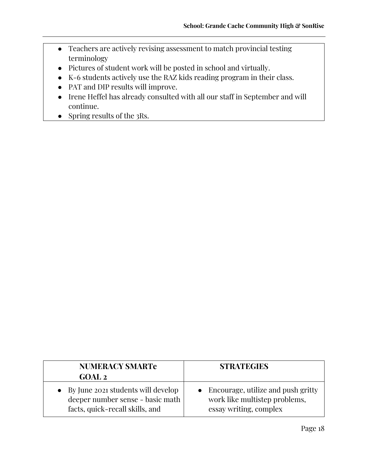- Teachers are actively revising assessment to match provincial testing terminology
- Pictures of student work will be posted in school and virtually.
- K-6 students actively use the RAZ kids reading program in their class.
- PAT and DIP results will improve.
- Irene Heffel has already consulted with all our staff in September and will continue.
- Spring results of the 3Rs.

| <b>NUMERACY SMARTe</b><br>GOAL <sub>2</sub> | <b>STRATEGIES</b>                    |
|---------------------------------------------|--------------------------------------|
| • By June 2021 students will develop        | • Encourage, utilize and push gritty |
| deeper number sense - basic math            | work like multistep problems,        |
| facts, quick-recall skills, and             | essay writing, complex               |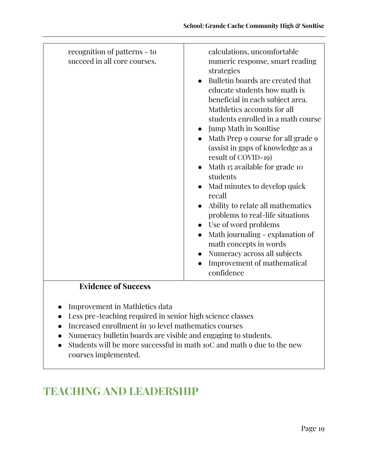| <b>Evidence of Success</b> |
|----------------------------|
|----------------------------|

- Improvement in Mathletics data
- Less pre-teaching required in senior high science classes
- Increased enrollment in 30 level mathematics courses
- Numeracy bulletin boards are visible and engaging to students.
- Students will be more successful in math 10C and math 9 due to the new courses implemented.

# **TEACHING AND LEADERSHIP**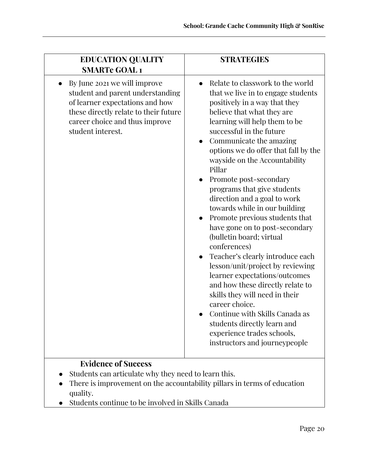| <b>EDUCATION QUALITY</b><br><b>SMARTe GOAL 1</b>                                                                                                                                                    | <b>STRATEGIES</b>                                                                                                                                                                                                                                                                                                                                                                                                                                                                                                                                                                                                                                                                                                                                                                                                                                                                           |
|-----------------------------------------------------------------------------------------------------------------------------------------------------------------------------------------------------|---------------------------------------------------------------------------------------------------------------------------------------------------------------------------------------------------------------------------------------------------------------------------------------------------------------------------------------------------------------------------------------------------------------------------------------------------------------------------------------------------------------------------------------------------------------------------------------------------------------------------------------------------------------------------------------------------------------------------------------------------------------------------------------------------------------------------------------------------------------------------------------------|
| By June 2021 we will improve<br>student and parent understanding<br>of learner expectations and how<br>these directly relate to their future<br>career choice and thus improve<br>student interest. | Relate to classwork to the world<br>that we live in to engage students<br>positively in a way that they<br>believe that what they are<br>learning will help them to be<br>successful in the future<br>Communicate the amazing<br>options we do offer that fall by the<br>wayside on the Accountability<br>Pillar<br>Promote post-secondary<br>programs that give students<br>direction and a goal to work<br>towards while in our building<br>Promote previous students that<br>have gone on to post-secondary<br>(bulletin board; virtual<br>conferences)<br>Teacher's clearly introduce each<br>lesson/unit/project by reviewing<br>learner expectations/outcomes<br>and how these directly relate to<br>skills they will need in their<br>career choice.<br>Continue with Skills Canada as<br>students directly learn and<br>experience trades schools,<br>instructors and journeypeople |
| <b>Evidence of Success</b><br>Students can articulate why they need to learn this.                                                                                                                  |                                                                                                                                                                                                                                                                                                                                                                                                                                                                                                                                                                                                                                                                                                                                                                                                                                                                                             |

- There is improvement on the accountability pillars in terms of education quality.
- Students continue to be involved in Skills Canada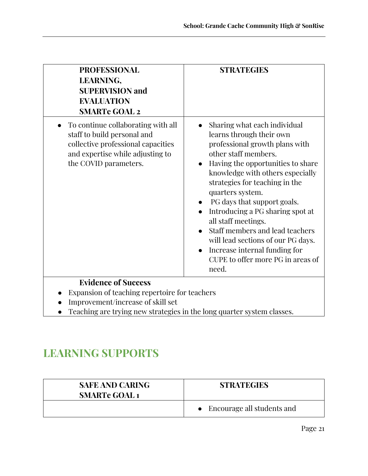| <b>PROFESSIONAL</b><br><b>STRATEGIES</b><br><b>LEARNING,</b><br><b>SUPERVISION and</b><br><b>EVALUATION</b><br><b>SMARTe GOAL 2</b>                                                                                                                                                                                                                                                                                                                                                                                                                                                                                                                                                      |  |
|------------------------------------------------------------------------------------------------------------------------------------------------------------------------------------------------------------------------------------------------------------------------------------------------------------------------------------------------------------------------------------------------------------------------------------------------------------------------------------------------------------------------------------------------------------------------------------------------------------------------------------------------------------------------------------------|--|
| To continue collaborating with all<br>Sharing what each individual<br>staff to build personal and<br>learns through their own<br>collective professional capacities<br>professional growth plans with<br>other staff members.<br>and expertise while adjusting to<br>Having the opportunities to share<br>the COVID parameters.<br>knowledge with others especially<br>strategies for teaching in the<br>quarters system.<br>PG days that support goals.<br>$\bullet$<br>Introducing a PG sharing spot at<br>all staff meetings.<br>Staff members and lead teachers<br>will lead sections of our PG days.<br>Increase internal funding for<br>CUPE to offer more PG in areas of<br>need. |  |
| <b>Evidence of Success</b>                                                                                                                                                                                                                                                                                                                                                                                                                                                                                                                                                                                                                                                               |  |
| Expansion of teaching repertoire for teachers                                                                                                                                                                                                                                                                                                                                                                                                                                                                                                                                                                                                                                            |  |
| Improvement/increase of skill set<br>Teaching are trying new strategies in the long quarter system classes.                                                                                                                                                                                                                                                                                                                                                                                                                                                                                                                                                                              |  |

● Teaching are trying new strategies in the long quarter system classes.

## **LEARNING SUPPORTS**

| <b>SAFE AND CARING</b><br><b>SMARTe GOAL 1</b> | <b>STRATEGIES</b>            |
|------------------------------------------------|------------------------------|
|                                                | • Encourage all students and |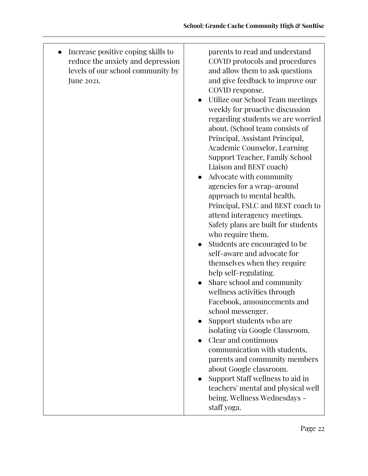● Increase positive coping skills to reduce the anxiety and depression levels of our school community by June 2021.

parents to read and understand COVID protocols and procedures and allow them to ask questions and give feedback to improve our COVID response.

- Utilize our School Team meetings weekly for proactive discussion regarding students we are worried about. (School team consists of Principal, Assistant Principal, Academic Counselor, Learning Support Teacher, Family School Liaison and BEST coach)
- Advocate with community agencies for a wrap-around approach to mental health. Principal, FSLC and BEST coach to attend interagency meetings. Safety plans are built for students who require them.
- Students are encouraged to be self-aware and advocate for themselves when they require help self-regulating.
- Share school and community wellness activities through Facebook, announcements and school messenger.
- Support students who are isolating via Google Classroom.
- Clear and continuous communication with students, parents and community members about Google classroom.
- Support Staff wellness to aid in teachers' mental and physical well being. Wellness Wednesdays staff yoga.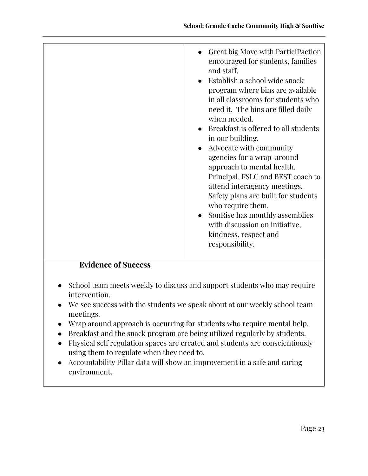| <b>Evidence of Success</b> | Great big Move with ParticiPaction<br>encouraged for students, families<br>and staff.<br>Establish a school wide snack<br>program where bins are available<br>in all classrooms for students who<br>need it. The bins are filled daily<br>when needed.<br>Breakfast is offered to all students<br>in our building.<br>Advocate with community<br>agencies for a wrap-around<br>approach to mental health.<br>Principal, FSLC and BEST coach to<br>attend interagency meetings.<br>Safety plans are built for students<br>who require them.<br>SonRise has monthly assemblies<br>with discussion on initiative,<br>kindness, respect and<br>responsibility. |
|----------------------------|------------------------------------------------------------------------------------------------------------------------------------------------------------------------------------------------------------------------------------------------------------------------------------------------------------------------------------------------------------------------------------------------------------------------------------------------------------------------------------------------------------------------------------------------------------------------------------------------------------------------------------------------------------|
|                            |                                                                                                                                                                                                                                                                                                                                                                                                                                                                                                                                                                                                                                                            |

- School team meets weekly to discuss and support students who may require intervention.
- We see success with the students we speak about at our weekly school team meetings.
- Wrap around approach is occurring for students who require mental help.
- Breakfast and the snack program are being utilized regularly by students.
- Physical self regulation spaces are created and students are conscientiously using them to regulate when they need to.
- Accountability Pillar data will show an improvement in a safe and caring environment.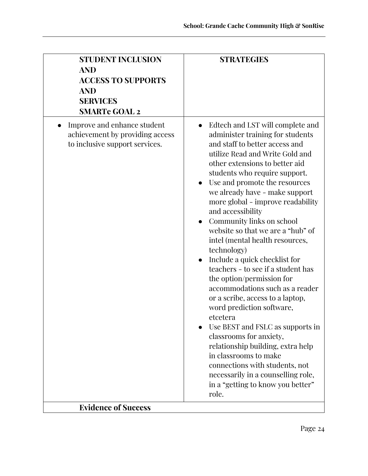| <b>STUDENT INCLUSION</b><br><b>AND</b><br><b>ACCESS TO SUPPORTS</b><br><b>AND</b><br><b>SERVICES</b><br><b>SMARTe GOAL 2</b> | <b>STRATEGIES</b>                                                                                                                                                                                                                                                                                                                                                                                                                                                                                                                                                                                                                                                                                                                                                                                                                                                                                                                    |
|------------------------------------------------------------------------------------------------------------------------------|--------------------------------------------------------------------------------------------------------------------------------------------------------------------------------------------------------------------------------------------------------------------------------------------------------------------------------------------------------------------------------------------------------------------------------------------------------------------------------------------------------------------------------------------------------------------------------------------------------------------------------------------------------------------------------------------------------------------------------------------------------------------------------------------------------------------------------------------------------------------------------------------------------------------------------------|
| Improve and enhance student<br>achievement by providing access<br>to inclusive support services.                             | Edtech and LST will complete and<br>administer training for students<br>and staff to better access and<br>utilize Read and Write Gold and<br>other extensions to better aid<br>students who require support.<br>Use and promote the resources<br>we already have - make support<br>more global - improve readability<br>and accessibility<br>Community links on school<br>website so that we are a "hub" of<br>intel (mental health resources,<br>technology)<br>Include a quick checklist for<br>teachers - to see if a student has<br>the option/permission for<br>accommodations such as a reader<br>or a scribe, access to a laptop,<br>word prediction software,<br>etcetera<br>Use BEST and FSLC as supports in<br>classrooms for anxiety,<br>relationship building, extra help<br>in classrooms to make<br>connections with students, not<br>necessarily in a counselling role,<br>in a "getting to know you better"<br>role. |
| <b>Evidence of Success</b>                                                                                                   |                                                                                                                                                                                                                                                                                                                                                                                                                                                                                                                                                                                                                                                                                                                                                                                                                                                                                                                                      |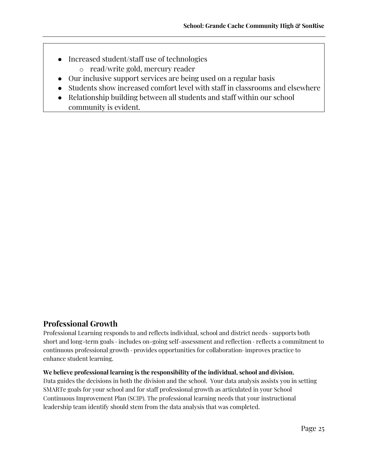- Increased student/staff use of technologies
	- o read/write gold, mercury reader
- Our inclusive support services are being used on a regular basis
- Students show increased comfort level with staff in classrooms and elsewhere
- Relationship building between all students and staff within our school community is evident.

### **Professional Growth**

Professional Learning responds to and reflects individual, school and district needs · supports both short and long-term goals · includes on-going self-assessment and reflection · reflects a commitment to continuous professional growth · provides opportunities for collaboration· improves practice to enhance student learning.

#### **We believe professional learning is the responsibility of the individual, school and division.**

Data guides the decisions in both the division and the school. Your data analysis assists you in setting SMARTe goals for your school and for staff professional growth as articulated in your School Continuous Improvement Plan (SCIP). The professional learning needs that your instructional leadership team identify should stem from the data analysis that was completed.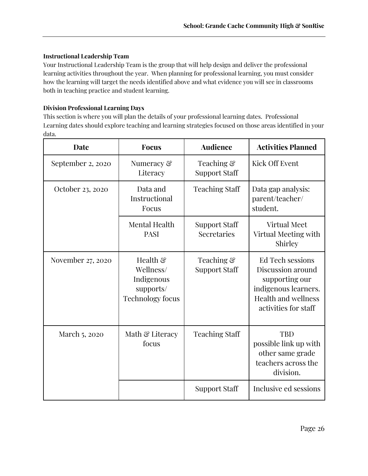#### **Instructional Leadership Team**

Your Instructional Leadership Team is the group that will help design and deliver the professional learning activities throughout the year. When planning for professional learning, you must consider how the learning will target the needs identified above and what evidence you will see in classrooms both in teaching practice and student learning.

#### **Division Professional Learning Days**

This section is where you will plan the details of your professional learning dates. Professional Learning dates should explore teaching and learning strategies focused on those areas identified in your data.

| Date              | <b>Focus</b>                                                                            | <b>Audience</b>                     | <b>Activities Planned</b>                                                                                                             |
|-------------------|-----------------------------------------------------------------------------------------|-------------------------------------|---------------------------------------------------------------------------------------------------------------------------------------|
| September 2, 2020 | Numeracy &<br>Literacy                                                                  | Teaching &<br><b>Support Staff</b>  | Kick Off Event                                                                                                                        |
| October 23, 2020  | Data and<br>Instructional<br>Focus                                                      | <b>Teaching Staff</b>               | Data gap analysis:<br>parent/teacher/<br>student.                                                                                     |
|                   | Mental Health<br><b>PASI</b>                                                            | <b>Support Staff</b><br>Secretaries | <b>Virtual Meet</b><br>Virtual Meeting with<br>Shirley                                                                                |
| November 27, 2020 | Health $\mathcal{E}$<br>Wellness/<br>Indigenous<br>supports/<br><b>Technology focus</b> | Teaching &<br><b>Support Staff</b>  | Ed Tech sessions<br>Discussion around<br>supporting our<br>indigenous learners.<br><b>Health and wellness</b><br>activities for staff |
| March 5, 2020     | Math & Literacy<br>focus                                                                | <b>Teaching Staff</b>               | <b>TBD</b><br>possible link up with<br>other same grade<br>teachers across the<br>division.                                           |
|                   |                                                                                         | Support Staff                       | Inclusive ed sessions                                                                                                                 |